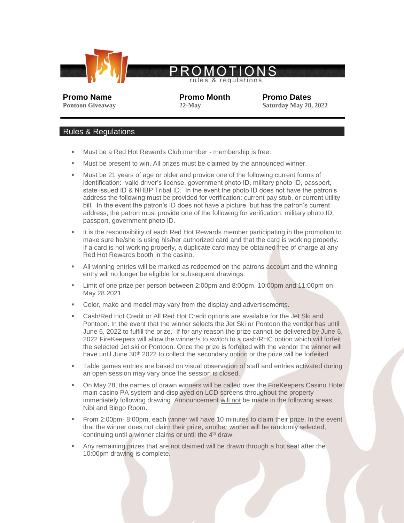

ules & regulations

**Promo Name Promo Month Promo Dates Pontoon Giveaway 22-May 22-May Saturday May 28, 2022** 

## Rules & Regulations

- Must be a Red Hot Rewards Club member membership is free.
- Must be present to win. All prizes must be claimed by the announced winner.
- Must be 21 years of age or older and provide one of the following current forms of identification: valid driver's license, government photo ID, military photo ID, passport, state issued ID & NHBP Tribal ID. In the event the photo ID does not have the patron's address the following must be provided for verification: current pay stub, or current utility bill. In the event the patron's ID does not have a picture, but has the patron's current address, the patron must provide one of the following for verification: military photo ID, passport, government photo ID.
- It is the responsibility of each Red Hot Rewards member participating in the promotion to make sure he/she is using his/her authorized card and that the card is working properly. If a card is not working properly, a duplicate card may be obtained free of charge at any Red Hot Rewards booth in the casino.
- All winning entries will be marked as redeemed on the patrons account and the winning entry will no longer be eligible for subsequent drawings.
- Limit of one prize per person between 2:00pm and 8:00pm, 10:00pm and 11:00pm on May 28 2021.
- Color, make and model may vary from the display and advertisements.
- Cash/Red Hot Credit or All Red Hot Credit options are available for the Jet Ski and Pontoon. In the event that the winner selects the Jet Ski or Pontoon the vendor has until June 6, 2022 to fulfill the prize. If for any reason the prize cannot be delivered by June 6, 2022 FireKeepers will allow the winner/s to switch to a cash/RHC option which will forfeit the selected Jet ski or Pontoon. Once the prize is forfeited with the vendor the winner will have until June 30<sup>th</sup> 2022 to collect the secondary option or the prize will be forfeited.
- Table games entries are based on visual observation of staff and entries activated during an open session may vary once the session is closed.
- On May 28, the names of drawn winners will be called over the FireKeepers Casino Hotel main casino PA system and displayed on LCD screens throughout the property immediately following drawing. Announcement will not be made in the following areas: Nibi and Bingo Room.
- From 2:00pm- 8:00pm, each winner will have 10 minutes to claim their prize. In the event that the winner does not claim their prize, another winner will be randomly selected, continuing until a winner claims or until the 4th draw.
- Any remaining prizes that are not claimed will be drawn through a hot seat after the 10:00pm drawing is complete.